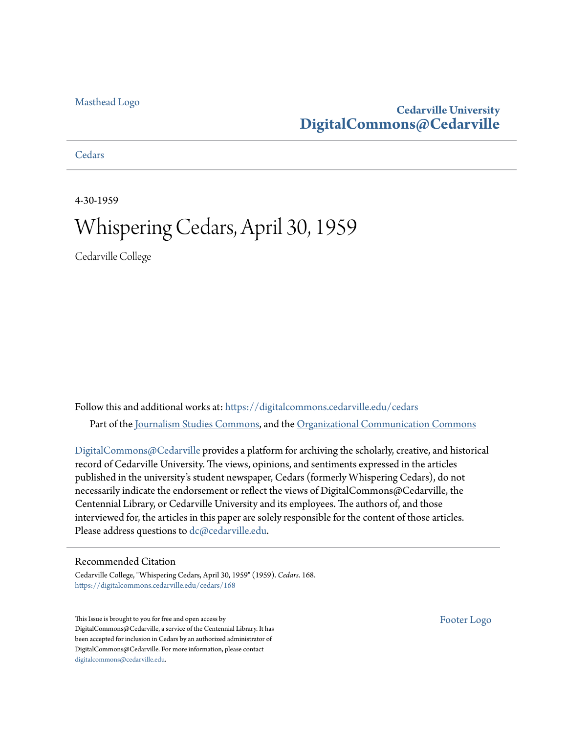#### [Masthead Logo](http://www.cedarville.edu/?utm_source=digitalcommons.cedarville.edu%2Fcedars%2F168&utm_medium=PDF&utm_campaign=PDFCoverPages)

### **Cedarville University [DigitalCommons@Cedarville](https://digitalcommons.cedarville.edu?utm_source=digitalcommons.cedarville.edu%2Fcedars%2F168&utm_medium=PDF&utm_campaign=PDFCoverPages)**

**[Cedars](https://digitalcommons.cedarville.edu/cedars?utm_source=digitalcommons.cedarville.edu%2Fcedars%2F168&utm_medium=PDF&utm_campaign=PDFCoverPages)** 

4-30-1959

# Whispering Cedars, April 30, 1959

Cedarville College

Follow this and additional works at: [https://digitalcommons.cedarville.edu/cedars](https://digitalcommons.cedarville.edu/cedars?utm_source=digitalcommons.cedarville.edu%2Fcedars%2F168&utm_medium=PDF&utm_campaign=PDFCoverPages) Part of the [Journalism Studies Commons](http://network.bepress.com/hgg/discipline/333?utm_source=digitalcommons.cedarville.edu%2Fcedars%2F168&utm_medium=PDF&utm_campaign=PDFCoverPages), and the [Organizational Communication Commons](http://network.bepress.com/hgg/discipline/335?utm_source=digitalcommons.cedarville.edu%2Fcedars%2F168&utm_medium=PDF&utm_campaign=PDFCoverPages)

[DigitalCommons@Cedarville](http://digitalcommons.cedarville.edu/) provides a platform for archiving the scholarly, creative, and historical record of Cedarville University. The views, opinions, and sentiments expressed in the articles published in the university's student newspaper, Cedars (formerly Whispering Cedars), do not necessarily indicate the endorsement or reflect the views of DigitalCommons@Cedarville, the Centennial Library, or Cedarville University and its employees. The authors of, and those interviewed for, the articles in this paper are solely responsible for the content of those articles. Please address questions to [dc@cedarville.edu.](mailto:dc@cedarville.edu)

#### Recommended Citation

Cedarville College, "Whispering Cedars, April 30, 1959" (1959). *Cedars*. 168. [https://digitalcommons.cedarville.edu/cedars/168](https://digitalcommons.cedarville.edu/cedars/168?utm_source=digitalcommons.cedarville.edu%2Fcedars%2F168&utm_medium=PDF&utm_campaign=PDFCoverPages)

This Issue is brought to you for free and open access by DigitalCommons@Cedarville, a service of the Centennial Library. It has been accepted for inclusion in Cedars by an authorized administrator of DigitalCommons@Cedarville. For more information, please contact [digitalcommons@cedarville.edu](mailto:digitalcommons@cedarville.edu).

[Footer Logo](http://www.cedarville.edu/Academics/Library.aspx?utm_source=digitalcommons.cedarville.edu%2Fcedars%2F168&utm_medium=PDF&utm_campaign=PDFCoverPages)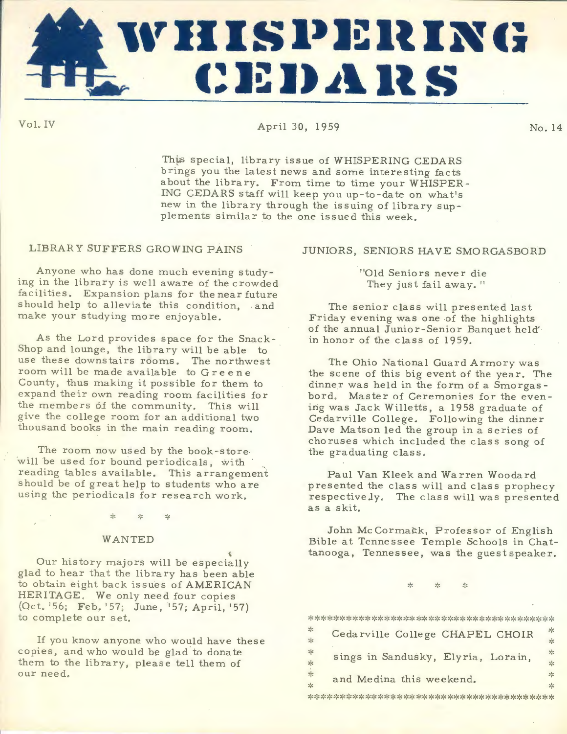

VoLIV April 30, 1959 No. <sup>14</sup>

This special, library issue of WHISPERING CEDARS brings you the latest news and some interesting facts about the library. From time to time your WHISPER-ING CEDARS staff will keep you up-to-date on what's new in the library through the issuing of library supplements similar to the one issued this week.

#### LIBRARY SUFFERS GROWING PAINS

An<sup>y</sup> one who has done much evening studying in the library is well aware of the crowded facilities. Expansion plans for the near future should help to alleviate this condition, and make your studying more enjoyable.

As the Lord provides space for the Snack-Shop and lounge, the library will be able to use these downstairs rooms. The northwest room will be made available to Greene County, thus making it possible for them to expand their own reading room facilities for the members 6f the community. This will give the college room for an additional two thousand books in the main reading room.

The room now used by the book -store. will be used for bound periodicals, with  $\cdot$ reading tables available. This arrangement should be of great help to students who are using the periodicals for research work.

#### WANTED

 $\epsilon$ Our history majors will be especially <sup>g</sup>lad to hear that the library has been able to obtain eight back issues of AMERICAN HERITAGE, We only need four copies (Oct. '56; Feb. '57; June, '57; April, '57) to complete our set.

If you know anyone who would have these copies, and who would be glad to donate them to the library, please tell them of our need.

#### JUNIORS , SENIORS HAVE SMORGASBORD

"Old Seniors never die They just fail away."

The senior class will presented last Friday evening was one of the highlights of the annual Junior- Senior Banquet held' in honor of the class of 1959.

The Ohio National Guard Armory was the scene of this big event of the year. The dinner was held in the form of a Smorgas bord. Master of Ceremonies for the evening was Jack Willetts, a 1958 graduate of Cedarville College. Following the dinner Dave Matson led the group in a series of choruses which included the class song of the graduating class.

Paul Van Kleek and Warren Woodard presented the class will and class prophecy respectively. The class will was presented as a skit.

John Mc Cormatk, Professor of English Bible at Tennessee Temple Schools in Chattanooga, Tennessee, was the guestspeaker.

> ··- $\sim$ ,,,

\*\*\*\*\*\*~\*\*\*\*\*\*\*\*\*\*\*\*\*\*\*\*\*\*\*\*\*\*\*\*\*\*\*\*\*\*\*\*

| ∗<br>☆             | Cedarville College CHAPEL CHOIR    | $\mathcal{P}_{\mathcal{E}}$<br>☆ |
|--------------------|------------------------------------|----------------------------------|
| *<br>朵             | sings in Sandusky, Elyria, Lorain, | ☆<br>欤                           |
| ∗<br>$\frac{1}{2}$ | and Medina this weekend.           | ☆<br>$\mathcal{H}$               |

\*\*\*\*\*\*\*\*\*\*\*\*\*\*\*\*\*\*\*\*\*\*\*\*\*\*\*~\*\*\*\*\*\*\*\*\*\*\*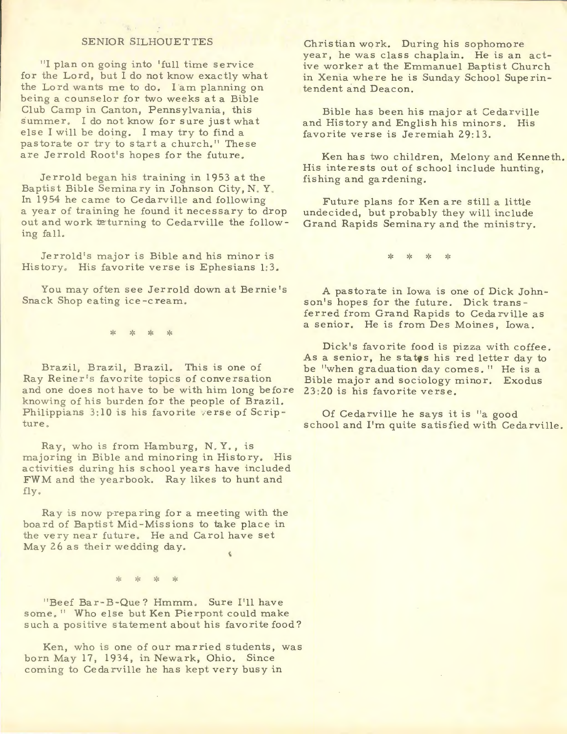#### SENIOR SILHOUETTES

"I plan on going into 'full time service for the Lord, but I do not know exactly what the Lord wants me to do. I am planning on being a counselor for two weeks at a Bible Club Camp in Canton, Pennsylvania, this summer. I do not know for sure just what else I will be doing. I may try to find a pastorate or try to start a church." These are Jerrold Root's hopes for the future.

Jerrold began his training in 1953 at the Baptist Bible Seminary in Johnson City, N.Y. In 1954 he came to Cedarville and following a year of training he found it necessary to drop out and work teturning to Cedarville the following fall.

Jerrold's major is Bible and his minor is History, His favorite verse is Ephesians 1:3.

You may often see Jerrold down at Bernie 's Snack Shop eating ice-cream.

> \* \*  $\frac{1}{2}$

Brazil, Brazil, Brazil. This is one of Ray Reiner's favorite topics of conversation and one does not have to be with him long before knowing of his burden for the people of Brazil. Philippians 3:10 is his favorite verse of Scripture ,

Ray, who is from Hamburg, N.Y., is majoring in Bible and minoring in History. His activities during his school years have included FWM and the yearbook. Ray likes to hunt and fly .

Ray is now preparing for a meeting with the board of Baptist Mid-Missions to take place in the very near future. He and Carol have set May 26 as their wedding day.

> $\frac{1}{26}$  $\mathbf{x}^{\mathbf{t}}$

"Beef Bar-B-Que? Hmmm. Sure I'll have some, " Who else but Ken Pierpont could make such a positive statement about his favorite food?

Ken, who is one of our married students, was born May 17, 1934, in Newark, Ohio. Since coming to Cedarville he has kept very busy in

Christian work. During his sophomore year, he was class chaplain. He is an active worker at the Emmanuel Baptist Church in Xenia where he is Sunday School Superintendent and Deacon.

Bible has been his major at Cedarville and History and English his minors. His favorite verse is Jeremiah 29:13.

Ken has two children, Melony and Kenneth. His interests out of school include hunting, fishing and gardening.

Future plans for Ken are still a little undecided, but probably they will include Grand Rapids Seminary and the ministry.

> .,.  $\mathbf{r}$  $\frac{1}{2}$

A pastorate in Iowa is one of Dick Johnson's hopes for the future. Dick transferred from Grand Rapids to Cedarville as a senior. He is from Des Moines, Iowa.

Dick's favorite food is pizza with coffee. As a senior, he states his red letter day to be "when graduation day comes. " He is a Bible major and sociology minor. Exodus 23:20 is his favorite verse.

Of Cedarville he says it is "a good school and I'm quite satisfied with Cedarville.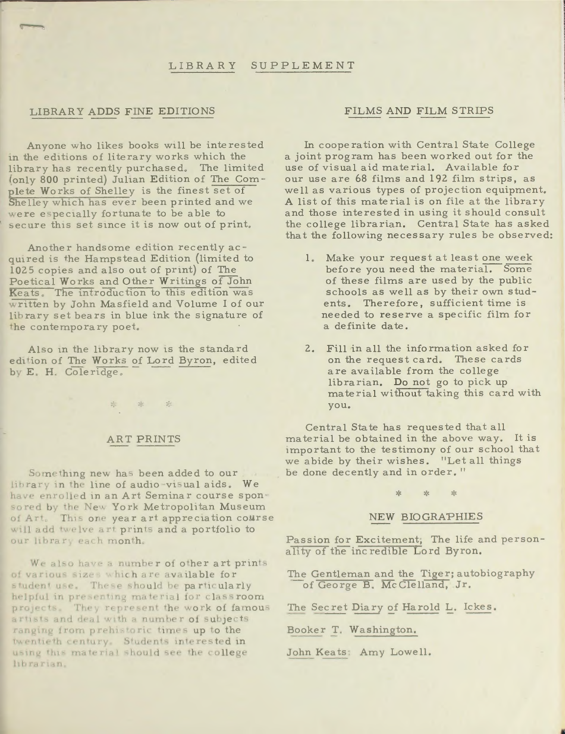#### SUPPLEMENT LIBRARY

#### LIBRARY ADDS FINE EDITIONS

Anyone who likes books will be interested in the editions of literary works which the library has recently purchased. The limited (only 800 printed) Julian Edition of The Complete Works of Shelley is the finest set of Shelley which has ever been printed and we were especially fortunate to be able to secure this set since it is now out of print.

Another handsome edition recently acquired is the Hampstead Edition (limited to 1025 copies and also out of print) of The Poetical Works and Other Writings of John Keats. The introduction to this edition was written by John Masfield and Volume I of our library set bears in blue ink the signature of the contemporary poet.

Also in the library now is the standard edition of The Works of Lord Byron, edited by E. H. Coleridge.

\* \* \*

**ART PRINTS** 

Something new has been added to our library in the line of audio-visual aids. We have enrolled in an Art Seminar course sponsored by the New York Metropolitan Museum of Art. This one year art appreciation course will add twelve art prints and a portfolio to our library each month.

We also have a number of other art prints of various sizes which are available for student use. These should be particularly helpful in presenting material for classroom projects. They represent the work of famous artists and deal with a number of subjects ranging from prehistoric times up to the twentieth century. Students interested in using this material should see the college librarian.

#### FILMS AND FILM STRIPS

In cooperation with Central State College a joint program has been worked out for the use of visual aid material. Available for our use are 68 films and 192 film strips, as well as various types of projection equipment. A list of this material is on file at the library and those interested in using it should consult the college librarian. Central State has asked that the following necessary rules be observed:

- 1. Make your request at least one week before you need the material. Some of these films are used by the public schools as well as by their own students. Therefore, sufficient time is needed to reserve a specific film for a definite date.
- 2. Fill in all the information asked for on the request card. These cards are available from the college librarian. Do not go to pick up material without taking this card with you.

Central State has requested that all material be obtained in the above way. It is important to the testimony of our school that we abide by their wishes. "Let all things be done decently and in order."

#### NEW BIOGRAPHIES

Passion for Excitement, The life and personality of the incredible Lord Byron.

The Gentleman and the Tiger; autobiography of George B. McClelland, Jr.

The Secret Diary of Harold L. Ickes.

Booker T. Washington.

John Keats: Amy Lowell.